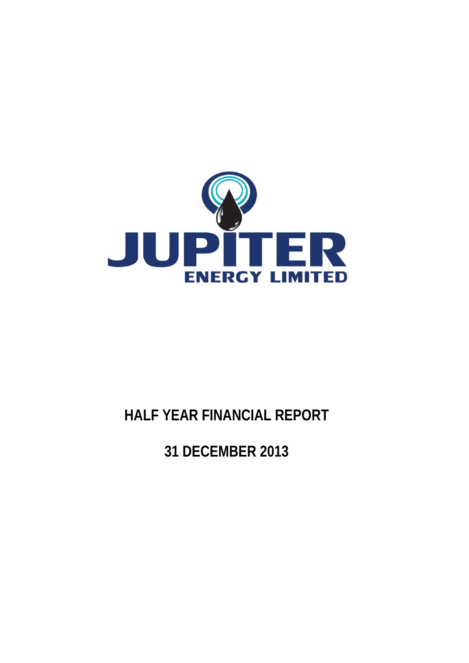

# **HALF YEAR FINANCIAL REPORT**

**31 DECEMBER 2013**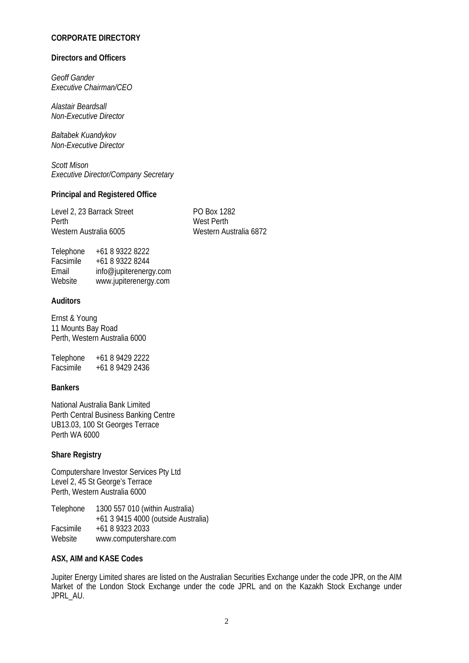# **CORPORATE DIRECTORY**

#### **Directors and Officers**

*Geoff Gander Executive Chairman/CEO* 

*Alastair Beardsall Non-Executive Director* 

*Baltabek Kuandykov Non-Executive Director* 

*Scott Mison Executive Director/Company Secretary* 

## **Principal and Registered Office**

Level 2, 23 Barrack Street PO Box 1282 Perth West Perth Western Australia 6005 Western Australia 6872

| Telephone | +61 8 9322 8222        |
|-----------|------------------------|
| Facsimile | +61 8 9322 8244        |
| Email     | info@jupiterenergy.com |
| Website   | www.jupiterenergy.com  |

# **Auditors**

Ernst & Young 11 Mounts Bay Road Perth, Western Australia 6000

Telephone +61 8 9429 2222 Facsimile +61 8 9429 2436

## **Bankers**

National Australia Bank Limited Perth Central Business Banking Centre UB13.03, 100 St Georges Terrace Perth WA 6000

# **Share Registry**

Computershare Investor Services Pty Ltd Level 2, 45 St George's Terrace Perth, Western Australia 6000

Telephone 1300 557 010 (within Australia) +61 3 9415 4000 (outside Australia) Facsimile +61 8 9323 2033<br>Website www.computersh www.computershare.com

## **ASX, AIM and KASE Codes**

Jupiter Energy Limited shares are listed on the Australian Securities Exchange under the code JPR, on the AIM Market of the London Stock Exchange under the code JPRL and on the Kazakh Stock Exchange under JPRL\_AU.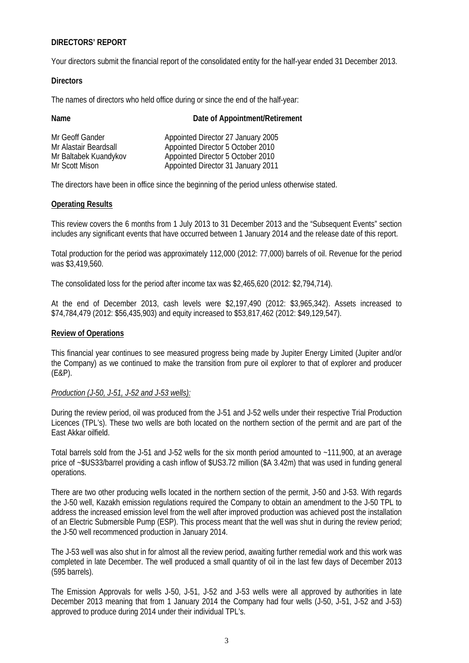# **DIRECTORS' REPORT**

Your directors submit the financial report of the consolidated entity for the half-year ended 31 December 2013.

# **Directors**

The names of directors who held office during or since the end of the half-year:

| Name                  | Date of Appointment/Retirement     |
|-----------------------|------------------------------------|
| Mr Geoff Gander       | Appointed Director 27 January 2005 |
| Mr Alastair Beardsall | Appointed Director 5 October 2010  |
| Mr Baltabek Kuandykov | Appointed Director 5 October 2010  |
| Mr Scott Mison        | Appointed Director 31 January 2011 |

The directors have been in office since the beginning of the period unless otherwise stated.

# **Operating Results**

This review covers the 6 months from 1 July 2013 to 31 December 2013 and the "Subsequent Events" section includes any significant events that have occurred between 1 January 2014 and the release date of this report.

Total production for the period was approximately 112,000 (2012: 77,000) barrels of oil. Revenue for the period was \$3,419,560.

The consolidated loss for the period after income tax was \$2,465,620 (2012: \$2,794,714).

At the end of December 2013, cash levels were \$2,197,490 (2012: \$3,965,342). Assets increased to \$74,784,479 (2012: \$56,435,903) and equity increased to \$53,817,462 (2012: \$49,129,547).

## **Review of Operations**

This financial year continues to see measured progress being made by Jupiter Energy Limited (Jupiter and/or the Company) as we continued to make the transition from pure oil explorer to that of explorer and producer (E&P).

## *Production (J-50, J-51, J-52 and J-53 wells):*

During the review period, oil was produced from the J-51 and J-52 wells under their respective Trial Production Licences (TPL's). These two wells are both located on the northern section of the permit and are part of the East Akkar oilfield.

Total barrels sold from the J-51 and J-52 wells for the six month period amounted to ~111,900, at an average price of ~\$US33/barrel providing a cash inflow of \$US3.72 million (\$A 3.42m) that was used in funding general operations.

There are two other producing wells located in the northern section of the permit, J-50 and J-53. With regards the J-50 well, Kazakh emission regulations required the Company to obtain an amendment to the J-50 TPL to address the increased emission level from the well after improved production was achieved post the installation of an Electric Submersible Pump (ESP). This process meant that the well was shut in during the review period; the J-50 well recommenced production in January 2014.

The J-53 well was also shut in for almost all the review period, awaiting further remedial work and this work was completed in late December. The well produced a small quantity of oil in the last few days of December 2013 (595 barrels).

The Emission Approvals for wells J-50, J-51, J-52 and J-53 wells were all approved by authorities in late December 2013 meaning that from 1 January 2014 the Company had four wells (J-50, J-51, J-52 and J-53) approved to produce during 2014 under their individual TPL's.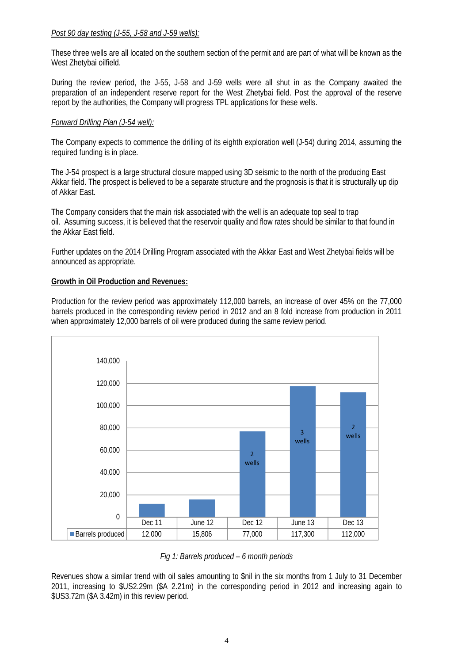# *Post 90 day testing (J-55, J-58 and J-59 wells):*

These three wells are all located on the southern section of the permit and are part of what will be known as the West Zhetybai oilfield.

During the review period, the J-55, J-58 and J-59 wells were all shut in as the Company awaited the preparation of an independent reserve report for the West Zhetybai field. Post the approval of the reserve report by the authorities, the Company will progress TPL applications for these wells.

# *Forward Drilling Plan (J-54 well):*

The Company expects to commence the drilling of its eighth exploration well (J-54) during 2014, assuming the required funding is in place.

The J-54 prospect is a large structural closure mapped using 3D seismic to the north of the producing East Akkar field. The prospect is believed to be a separate structure and the prognosis is that it is structurally up dip of Akkar East.

The Company considers that the main risk associated with the well is an adequate top seal to trap oil. Assuming success, it is believed that the reservoir quality and flow rates should be similar to that found in the Akkar East field.

Further updates on the 2014 Drilling Program associated with the Akkar East and West Zhetybai fields will be announced as appropriate.

## **Growth in Oil Production and Revenues:**

Production for the review period was approximately 112,000 barrels, an increase of over 45% on the 77,000 barrels produced in the corresponding review period in 2012 and an 8 fold increase from production in 2011 when approximately 12,000 barrels of oil were produced during the same review period.



*Fig 1: Barrels produced – 6 month periods* 

Revenues show a similar trend with oil sales amounting to \$nil in the six months from 1 July to 31 December 2011, increasing to \$US2.29m (\$A 2.21m) in the corresponding period in 2012 and increasing again to \$US3.72m (\$A 3.42m) in this review period.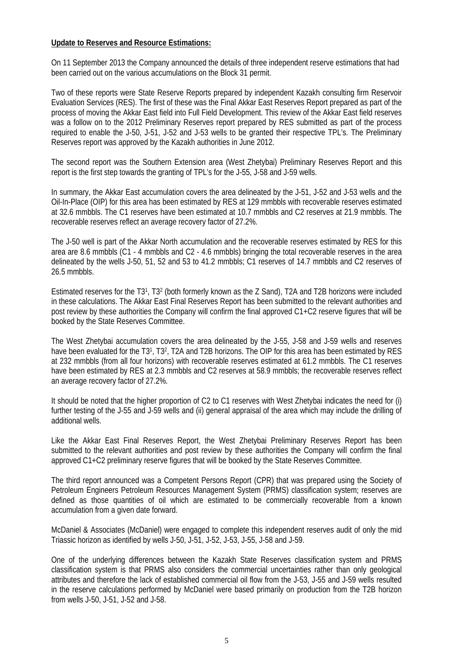# **Update to Reserves and Resource Estimations:**

On 11 September 2013 the Company announced the details of three independent reserve estimations that had been carried out on the various accumulations on the Block 31 permit.

Two of these reports were State Reserve Reports prepared by independent Kazakh consulting firm Reservoir Evaluation Services (RES). The first of these was the Final Akkar East Reserves Report prepared as part of the process of moving the Akkar East field into Full Field Development. This review of the Akkar East field reserves was a follow on to the 2012 Preliminary Reserves report prepared by RES submitted as part of the process required to enable the J-50, J-51, J-52 and J-53 wells to be granted their respective TPL's. The Preliminary Reserves report was approved by the Kazakh authorities in June 2012.

The second report was the Southern Extension area (West Zhetybai) Preliminary Reserves Report and this report is the first step towards the granting of TPL's for the J-55, J-58 and J-59 wells.

In summary, the Akkar East accumulation covers the area delineated by the J-51, J-52 and J-53 wells and the Oil-In-Place (OIP) for this area has been estimated by RES at 129 mmbbls with recoverable reserves estimated at 32.6 mmbbls. The C1 reserves have been estimated at 10.7 mmbbls and C2 reserves at 21.9 mmbbls. The recoverable reserves reflect an average recovery factor of 27.2%.

The J-50 well is part of the Akkar North accumulation and the recoverable reserves estimated by RES for this area are 8.6 mmbbls (C1 - 4 mmbbls and C2 - 4.6 mmbbls) bringing the total recoverable reserves in the area delineated by the wells J-50, 51, 52 and 53 to 41.2 mmbbls; C1 reserves of 14.7 mmbbls and C2 reserves of 26.5 mmbbls.

Estimated reserves for the T31, T32 (both formerly known as the Z Sand), T2A and T2B horizons were included in these calculations. The Akkar East Final Reserves Report has been submitted to the relevant authorities and post review by these authorities the Company will confirm the final approved C1+C2 reserve figures that will be booked by the State Reserves Committee.

The West Zhetybai accumulation covers the area delineated by the J-55, J-58 and J-59 wells and reserves have been evaluated for the T31, T32, T2A and T2B horizons. The OIP for this area has been estimated by RES at 232 mmbbls (from all four horizons) with recoverable reserves estimated at 61.2 mmbbls. The C1 reserves have been estimated by RES at 2.3 mmbbls and C2 reserves at 58.9 mmbbls; the recoverable reserves reflect an average recovery factor of 27.2%.

It should be noted that the higher proportion of C2 to C1 reserves with West Zhetybai indicates the need for (i) further testing of the J-55 and J-59 wells and (ii) general appraisal of the area which may include the drilling of additional wells.

Like the Akkar East Final Reserves Report, the West Zhetybai Preliminary Reserves Report has been submitted to the relevant authorities and post review by these authorities the Company will confirm the final approved C1+C2 preliminary reserve figures that will be booked by the State Reserves Committee.

The third report announced was a Competent Persons Report (CPR) that was prepared using the Society of Petroleum Engineers Petroleum Resources Management System (PRMS) classification system; reserves are defined as those quantities of oil which are estimated to be commercially recoverable from a known accumulation from a given date forward.

McDaniel & Associates (McDaniel) were engaged to complete this independent reserves audit of only the mid Triassic horizon as identified by wells J-50, J-51, J-52, J-53, J-55, J-58 and J-59.

One of the underlying differences between the Kazakh State Reserves classification system and PRMS classification system is that PRMS also considers the commercial uncertainties rather than only geological attributes and therefore the lack of established commercial oil flow from the J-53, J-55 and J-59 wells resulted in the reserve calculations performed by McDaniel were based primarily on production from the T2B horizon from wells J-50, J-51, J-52 and J-58.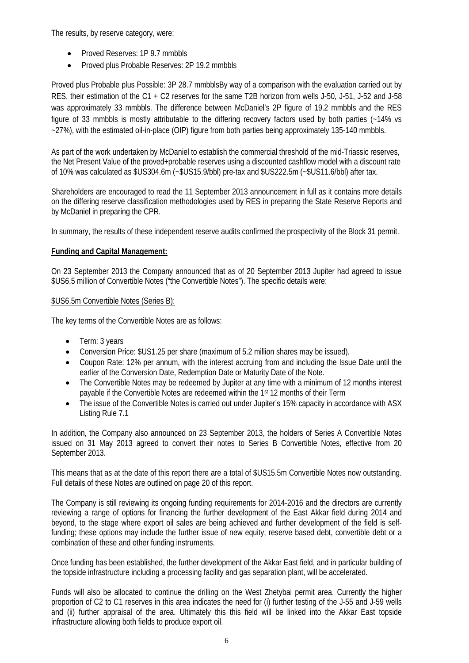The results, by reserve category, were:

- Proved Reserves: 1P 9.7 mmbbls
- Proved plus Probable Reserves: 2P 19.2 mmbbls

Proved plus Probable plus Possible: 3P 28.7 mmbblsBy way of a comparison with the evaluation carried out by RES, their estimation of the C1 + C2 reserves for the same T2B horizon from wells J-50, J-51, J-52 and J-58 was approximately 33 mmbbls. The difference between McDaniel's 2P figure of 19.2 mmbbls and the RES figure of 33 mmbbls is mostly attributable to the differing recovery factors used by both parties (~14% vs ~27%), with the estimated oil-in-place (OIP) figure from both parties being approximately 135-140 mmbbls.

As part of the work undertaken by McDaniel to establish the commercial threshold of the mid-Triassic reserves, the Net Present Value of the proved+probable reserves using a discounted cashflow model with a discount rate of 10% was calculated as \$US304.6m (~\$US15.9/bbl) pre-tax and \$US222.5m (~\$US11.6/bbl) after tax.

Shareholders are encouraged to read the 11 September 2013 announcement in full as it contains more details on the differing reserve classification methodologies used by RES in preparing the State Reserve Reports and by McDaniel in preparing the CPR.

In summary, the results of these independent reserve audits confirmed the prospectivity of the Block 31 permit.

# **Funding and Capital Management:**

On 23 September 2013 the Company announced that as of 20 September 2013 Jupiter had agreed to issue \$US6.5 million of Convertible Notes ("the Convertible Notes"). The specific details were:

# \$US6.5m Convertible Notes (Series B):

The key terms of the Convertible Notes are as follows:

- Term: 3 years
- Conversion Price: \$US1.25 per share (maximum of 5.2 million shares may be issued).
- Coupon Rate: 12% per annum, with the interest accruing from and including the Issue Date until the earlier of the Conversion Date, Redemption Date or Maturity Date of the Note.
- The Convertible Notes may be redeemed by Jupiter at any time with a minimum of 12 months interest payable if the Convertible Notes are redeemed within the 1st 12 months of their Term
- The issue of the Convertible Notes is carried out under Jupiter's 15% capacity in accordance with ASX Listing Rule 7.1

In addition, the Company also announced on 23 September 2013, the holders of Series A Convertible Notes issued on 31 May 2013 agreed to convert their notes to Series B Convertible Notes, effective from 20 September 2013.

This means that as at the date of this report there are a total of \$US15.5m Convertible Notes now outstanding. Full details of these Notes are outlined on page 20 of this report.

The Company is still reviewing its ongoing funding requirements for 2014-2016 and the directors are currently reviewing a range of options for financing the further development of the East Akkar field during 2014 and beyond, to the stage where export oil sales are being achieved and further development of the field is selffunding; these options may include the further issue of new equity, reserve based debt, convertible debt or a combination of these and other funding instruments.

Once funding has been established, the further development of the Akkar East field, and in particular building of the topside infrastructure including a processing facility and gas separation plant, will be accelerated.

Funds will also be allocated to continue the drilling on the West Zhetybai permit area. Currently the higher proportion of C2 to C1 reserves in this area indicates the need for (i) further testing of the J-55 and J-59 wells and (ii) further appraisal of the area. Ultimately this this field will be linked into the Akkar East topside infrastructure allowing both fields to produce export oil.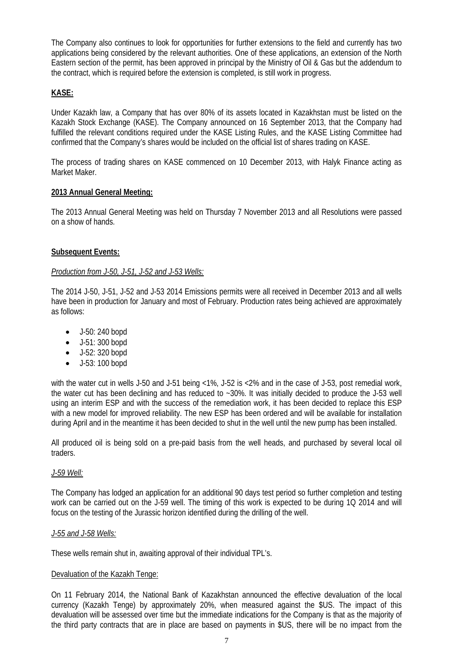The Company also continues to look for opportunities for further extensions to the field and currently has two applications being considered by the relevant authorities. One of these applications, an extension of the North Eastern section of the permit, has been approved in principal by the Ministry of Oil & Gas but the addendum to the contract, which is required before the extension is completed, is still work in progress.

# **KASE:**

Under Kazakh law, a Company that has over 80% of its assets located in Kazakhstan must be listed on the Kazakh Stock Exchange (KASE). The Company announced on 16 September 2013, that the Company had fulfilled the relevant conditions required under the KASE Listing Rules, and the KASE Listing Committee had confirmed that the Company's shares would be included on the official list of shares trading on KASE.

The process of trading shares on KASE commenced on 10 December 2013, with Halyk Finance acting as Market Maker.

# **2013 Annual General Meeting:**

The 2013 Annual General Meeting was held on Thursday 7 November 2013 and all Resolutions were passed on a show of hands.

# **Subsequent Events:**

# *Production from J-50, J-51, J-52 and J-53 Wells:*

The 2014 J-50, J-51, J-52 and J-53 2014 Emissions permits were all received in December 2013 and all wells have been in production for January and most of February. Production rates being achieved are approximately as follows:

- J-50: 240 bopd
- J-51: 300 bopd
- J-52: 320 bopd
- J-53: 100 bopd

with the water cut in wells J-50 and J-51 being <1%, J-52 is <2% and in the case of J-53, post remedial work, the water cut has been declining and has reduced to ~30%. It was initially decided to produce the J-53 well using an interim ESP and with the success of the remediation work, it has been decided to replace this ESP with a new model for improved reliability. The new ESP has been ordered and will be available for installation during April and in the meantime it has been decided to shut in the well until the new pump has been installed.

All produced oil is being sold on a pre-paid basis from the well heads, and purchased by several local oil traders.

# *J-59 Well:*

The Company has lodged an application for an additional 90 days test period so further completion and testing work can be carried out on the J-59 well. The timing of this work is expected to be during 1Q 2014 and will focus on the testing of the Jurassic horizon identified during the drilling of the well.

## *J-55 and J-58 Wells:*

These wells remain shut in, awaiting approval of their individual TPL's.

## Devaluation of the Kazakh Tenge:

On 11 February 2014, the National Bank of Kazakhstan announced the effective devaluation of the local currency (Kazakh Tenge) by approximately 20%, when measured against the \$US. The impact of this devaluation will be assessed over time but the immediate indications for the Company is that as the majority of the third party contracts that are in place are based on payments in \$US, there will be no impact from the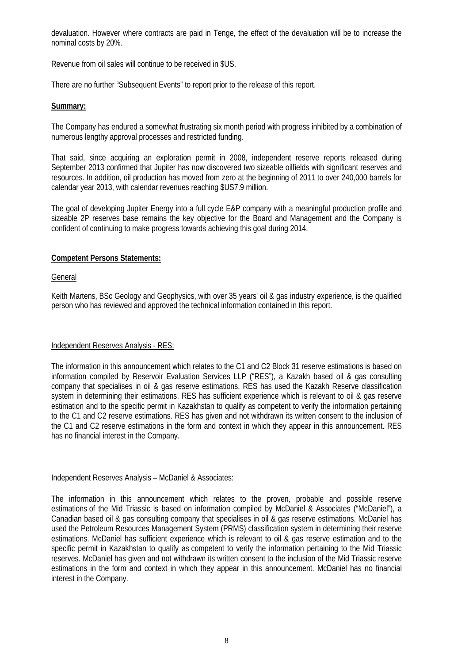devaluation. However where contracts are paid in Tenge, the effect of the devaluation will be to increase the nominal costs by 20%.

Revenue from oil sales will continue to be received in \$US.

There are no further "Subsequent Events" to report prior to the release of this report.

# **Summary:**

The Company has endured a somewhat frustrating six month period with progress inhibited by a combination of numerous lengthy approval processes and restricted funding.

That said, since acquiring an exploration permit in 2008, independent reserve reports released during September 2013 confirmed that Jupiter has now discovered two sizeable oilfields with significant reserves and resources. In addition, oil production has moved from zero at the beginning of 2011 to over 240,000 barrels for calendar year 2013, with calendar revenues reaching \$US7.9 million.

The goal of developing Jupiter Energy into a full cycle E&P company with a meaningful production profile and sizeable 2P reserves base remains the key objective for the Board and Management and the Company is confident of continuing to make progress towards achieving this goal during 2014.

# **Competent Persons Statements:**

## **General**

Keith Martens, BSc Geology and Geophysics, with over 35 years' oil & gas industry experience, is the qualified person who has reviewed and approved the technical information contained in this report.

# Independent Reserves Analysis - RES:

The information in this announcement which relates to the C1 and C2 Block 31 reserve estimations is based on information compiled by Reservoir Evaluation Services LLP ("RES"), a Kazakh based oil & gas consulting company that specialises in oil & gas reserve estimations. RES has used the Kazakh Reserve classification system in determining their estimations. RES has sufficient experience which is relevant to oil & gas reserve estimation and to the specific permit in Kazakhstan to qualify as competent to verify the information pertaining to the C1 and C2 reserve estimations. RES has given and not withdrawn its written consent to the inclusion of the C1 and C2 reserve estimations in the form and context in which they appear in this announcement. RES has no financial interest in the Company.

## Independent Reserves Analysis – McDaniel & Associates:

The information in this announcement which relates to the proven, probable and possible reserve estimations of the Mid Triassic is based on information compiled by McDaniel & Associates ("McDaniel"), a Canadian based oil & gas consulting company that specialises in oil & gas reserve estimations. McDaniel has used the Petroleum Resources Management System (PRMS) classification system in determining their reserve estimations. McDaniel has sufficient experience which is relevant to oil & gas reserve estimation and to the specific permit in Kazakhstan to qualify as competent to verify the information pertaining to the Mid Triassic reserves. McDaniel has given and not withdrawn its written consent to the inclusion of the Mid Triassic reserve estimations in the form and context in which they appear in this announcement. McDaniel has no financial interest in the Company.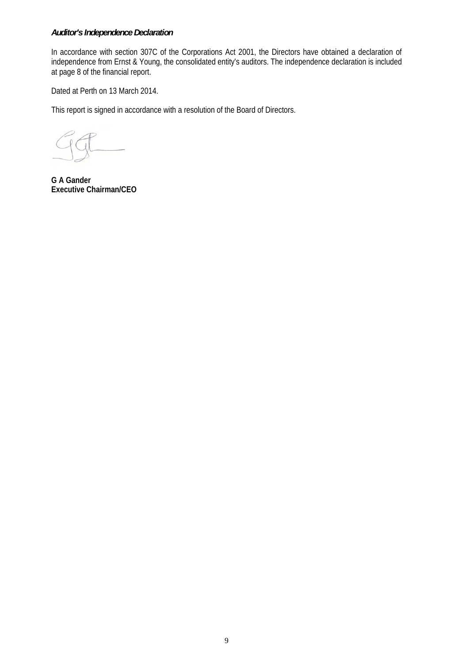# *Auditor's Independence Declaration*

In accordance with section 307C of the Corporations Act 2001, the Directors have obtained a declaration of independence from Ernst & Young, the consolidated entity's auditors. The independence declaration is included at page 8 of the financial report.

Dated at Perth on 13 March 2014.

This report is signed in accordance with a resolution of the Board of Directors.

**G A Gander Executive Chairman/CEO**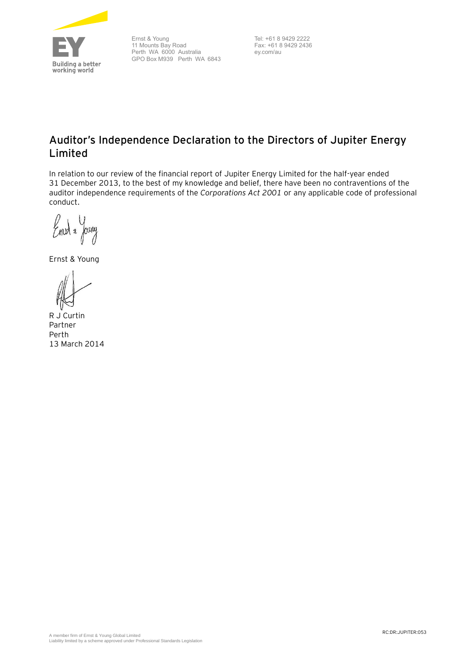

Ernst & Young 11 Mounts Bay Road Perth WA 6000 Australia GPO Box M939 Perth WA 6843

Tel: +61 8 9429 2222 Fax: +61 8 9429 2436 ey.com/au

# **Auditor's Independence Declaration to the Directors of Jupiter Energy Limited**

In relation to our review of the financial report of Jupiter Energy Limited for the half-year ended 31 December 2013, to the best of my knowledge and belief, there have been no contraventions of the auditor independence requirements of the *Corporations Act 2001* or any applicable code of professional conduct.

Emot & Joury

Ernst & Young

R J Curtin Partner Perth 13 March 2014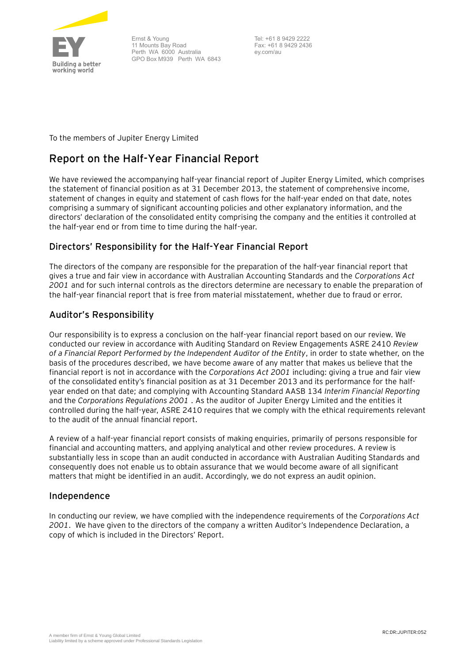

Ernst & Young 11 Mounts Bay Road Perth WA 6000 Australia GPO Box M939 Perth WA 6843

Tel: +61 8 9429 2222 Fax: +61 8 9429 2436 ey.com/au

To the members of Jupiter Energy Limited

# **Report on the Half-Year Financial Report**

We have reviewed the accompanying half-year financial report of Jupiter Energy Limited, which comprises the statement of financial position as at 31 December 2013, the statement of comprehensive income, statement of changes in equity and statement of cash flows for the half-year ended on that date, notes comprising a summary of significant accounting policies and other explanatory information, and the directors' declaration of the consolidated entity comprising the company and the entities it controlled at the half-year end or from time to time during the half-year.

# **Directors' Responsibility for the Half-Year Financial Report**

The directors of the company are responsible for the preparation of the half-year financial report that gives a true and fair view in accordance with Australian Accounting Standards and the *Corporations Act 2001* and for such internal controls as the directors determine are necessary to enable the preparation of the half-year financial report that is free from material misstatement, whether due to fraud or error.

# **Auditor's Responsibility**

Our responsibility is to express a conclusion on the half-year financial report based on our review. We conducted our review in accordance with Auditing Standard on Review Engagements ASRE 2410 *Review of a Financial Report Performed by the Independent Auditor of the Entity*, in order to state whether, on the basis of the procedures described, we have become aware of any matter that makes us believe that the financial report is not in accordance with the *Corporations Act 2001* including: giving a true and fair view of the consolidated entity's financial position as at 31 December 2013 and its performance for the halfyear ended on that date; and complying with Accounting Standard AASB 134 *Interim Financial Reporting* and the *Corporations Regulations 2001* . As the auditor of Jupiter Energy Limited and the entities it controlled during the half-year, ASRE 2410 requires that we comply with the ethical requirements relevant to the audit of the annual financial report.

A review of a half-year financial report consists of making enquiries, primarily of persons responsible for financial and accounting matters, and applying analytical and other review procedures. A review is substantially less in scope than an audit conducted in accordance with Australian Auditing Standards and consequently does not enable us to obtain assurance that we would become aware of all significant matters that might be identified in an audit. Accordingly, we do not express an audit opinion.

# **Independence**

In conducting our review, we have complied with the independence requirements of the *Corporations Act 2001*. We have given to the directors of the company a written Auditor's Independence Declaration, a copy of which is included in the Directors' Report.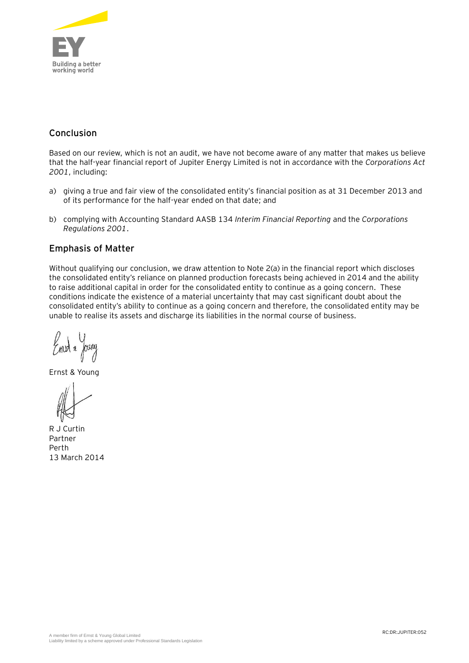

# **Conclusion**

Based on our review, which is not an audit, we have not become aware of any matter that makes us believe that the half-year financial report of Jupiter Energy Limited is not in accordance with the *Corporations Act 2001*, including:

- a) giving a true and fair view of the consolidated entity's financial position as at 31 December 2013 and of its performance for the half-year ended on that date; and
- b) complying with Accounting Standard AASB 134 *Interim Financial Reporting* and the *Corporations Regulations 2001*.

# **Emphasis of Matter**

Without qualifying our conclusion, we draw attention to Note 2(a) in the financial report which discloses the consolidated entity's reliance on planned production forecasts being achieved in 2014 and the ability to raise additional capital in order for the consolidated entity to continue as a going concern. These conditions indicate the existence of a material uncertainty that may cast significant doubt about the consolidated entity's ability to continue as a going concern and therefore, the consolidated entity may be unable to realise its assets and discharge its liabilities in the normal course of business.

 $\gamma$ mbt & Joury

Ernst & Young

R J Curtin Partner Perth 13 March 2014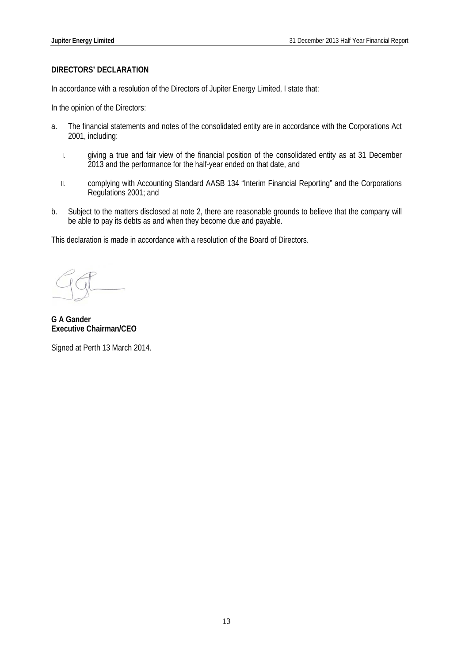# **DIRECTORS' DECLARATION**

In accordance with a resolution of the Directors of Jupiter Energy Limited, I state that:

In the opinion of the Directors:

- a. The financial statements and notes of the consolidated entity are in accordance with the Corporations Act 2001, including:
	- I. giving a true and fair view of the financial position of the consolidated entity as at 31 December 2013 and the performance for the half-year ended on that date, and
	- II. complying with Accounting Standard AASB 134 "Interim Financial Reporting" and the Corporations Regulations 2001; and
- b. Subject to the matters disclosed at note 2, there are reasonable grounds to believe that the company will be able to pay its debts as and when they become due and payable.

This declaration is made in accordance with a resolution of the Board of Directors.

**G A Gander Executive Chairman/CEO** 

Signed at Perth 13 March 2014.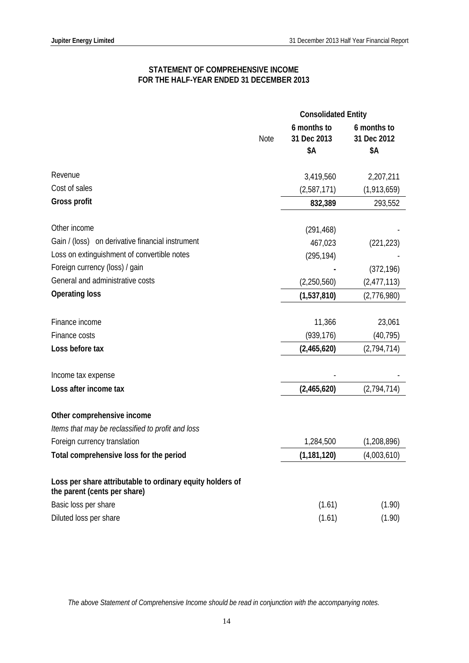# **STATEMENT OF COMPREHENSIVE INCOME FOR THE HALF-YEAR ENDED 31 DECEMBER 2013**

|                                                                                           |      | <b>Consolidated Entity</b> |                            |
|-------------------------------------------------------------------------------------------|------|----------------------------|----------------------------|
|                                                                                           | Note | 6 months to<br>31 Dec 2013 | 6 months to<br>31 Dec 2012 |
|                                                                                           |      | \$Α                        | \$Α                        |
| Revenue                                                                                   |      | 3,419,560                  | 2,207,211                  |
| Cost of sales                                                                             |      | (2,587,171)                | (1,913,659)                |
| <b>Gross profit</b>                                                                       |      | 832,389                    | 293,552                    |
|                                                                                           |      |                            |                            |
| Other income                                                                              |      | (291, 468)                 |                            |
| Gain / (loss) on derivative financial instrument                                          |      | 467,023                    | (221, 223)                 |
| Loss on extinguishment of convertible notes                                               |      | (295, 194)                 |                            |
| Foreign currency (loss) / gain                                                            |      |                            | (372, 196)                 |
| General and administrative costs                                                          |      | (2,250,560)                | (2,477,113)                |
| <b>Operating loss</b>                                                                     |      | (1,537,810)                | (2,776,980)                |
| Finance income                                                                            |      | 11,366                     | 23,061                     |
| Finance costs                                                                             |      | (939, 176)                 | (40, 795)                  |
| Loss before tax                                                                           |      | (2,465,620)                | (2,794,714)                |
|                                                                                           |      |                            |                            |
| Income tax expense                                                                        |      |                            |                            |
| Loss after income tax                                                                     |      | (2,465,620)                | (2,794,714)                |
| Other comprehensive income                                                                |      |                            |                            |
| Items that may be reclassified to profit and loss                                         |      |                            |                            |
| Foreign currency translation                                                              |      | 1,284,500                  | (1,208,896)                |
| Total comprehensive loss for the period                                                   |      | (1, 181, 120)              | (4,003,610)                |
| Loss per share attributable to ordinary equity holders of<br>the parent (cents per share) |      |                            |                            |
| Basic loss per share                                                                      |      | (1.61)                     | (1.90)                     |
| Diluted loss per share                                                                    |      | (1.61)                     | (1.90)                     |

*The above Statement of Comprehensive Income should be read in conjunction with the accompanying notes.*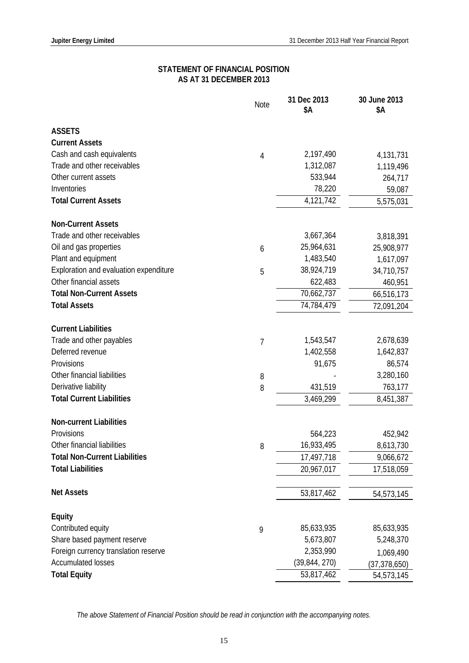# **STATEMENT OF FINANCIAL POSITION AS AT 31 DECEMBER 2013**

|                                        | Note           | 31 Dec 2013<br>\$Α | 30 June 2013<br>\$Α |
|----------------------------------------|----------------|--------------------|---------------------|
| <b>ASSETS</b>                          |                |                    |                     |
| <b>Current Assets</b>                  |                |                    |                     |
| Cash and cash equivalents              | 4              | 2,197,490          | 4,131,731           |
| Trade and other receivables            |                | 1,312,087          | 1,119,496           |
| Other current assets                   |                | 533,944            | 264,717             |
| Inventories                            |                | 78,220             | 59,087              |
| <b>Total Current Assets</b>            |                | 4,121,742          | 5,575,031           |
| <b>Non-Current Assets</b>              |                |                    |                     |
| Trade and other receivables            |                | 3,667,364          | 3,818,391           |
| Oil and gas properties                 | 6              | 25,964,631         | 25,908,977          |
| Plant and equipment                    |                | 1,483,540          | 1,617,097           |
| Exploration and evaluation expenditure | 5              | 38,924,719         | 34,710,757          |
| Other financial assets                 |                | 622,483            | 460,951             |
| <b>Total Non-Current Assets</b>        |                | 70,662,737         | 66,516,173          |
| <b>Total Assets</b>                    |                | 74,784,479         | 72,091,204          |
| <b>Current Liabilities</b>             |                |                    |                     |
| Trade and other payables               | $\overline{7}$ | 1,543,547          | 2,678,639           |
| Deferred revenue                       |                | 1,402,558          | 1,642,837           |
| Provisions                             |                | 91,675             | 86,574              |
| Other financial liabilities            | 8              |                    | 3,280,160           |
| Derivative liability                   | 8              | 431,519            | 763,177             |
| <b>Total Current Liabilities</b>       |                | 3,469,299          | 8,451,387           |
| <b>Non-current Liabilities</b>         |                |                    |                     |
| Provisions                             |                | 564,223            | 452,942             |
| Other financial liabilities            | 8              | 16,933,495         | 8,613,730           |
| <b>Total Non-Current Liabilities</b>   |                | 17,497,718         | 9,066,672           |
| <b>Total Liabilities</b>               |                | 20,967,017         | 17,518,059          |
| <b>Net Assets</b>                      |                | 53,817,462         | 54,573,145          |
| <b>Equity</b>                          |                |                    |                     |
| Contributed equity                     | 9              | 85,633,935         | 85,633,935          |
| Share based payment reserve            |                | 5,673,807          | 5,248,370           |
| Foreign currency translation reserve   |                | 2,353,990          | 1,069,490           |
| <b>Accumulated losses</b>              |                | (39, 844, 270)     | (37,378,650)        |
| <b>Total Equity</b>                    |                | 53,817,462         | 54,573,145          |

*The above Statement of Financial Position should be read in conjunction with the accompanying notes.*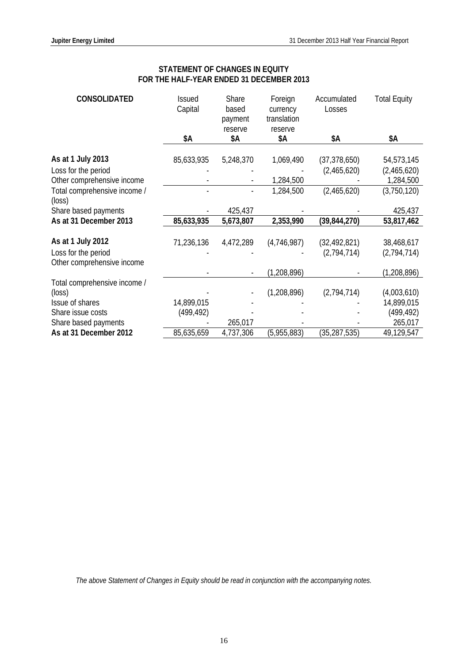# **STATEMENT OF CHANGES IN EQUITY FOR THE HALF-YEAR ENDED 31 DECEMBER 2013**

| <b>CONSOLIDATED</b>                                                    | <b>Issued</b><br>Capital | Share<br>based<br>payment<br>reserve | Foreign<br>currency<br>translation<br>reserve | Accumulated<br>Losses         | <b>Total Equity</b>       |
|------------------------------------------------------------------------|--------------------------|--------------------------------------|-----------------------------------------------|-------------------------------|---------------------------|
|                                                                        | \$Α                      | \$Α                                  | \$Α                                           | \$Α                           | \$Α                       |
| As at 1 July 2013                                                      | 85,633,935               | 5,248,370                            | 1,069,490                                     | (37, 378, 650)                | 54,573,145                |
| Loss for the period                                                    |                          |                                      |                                               | (2,465,620)                   | (2,465,620)               |
| Other comprehensive income                                             |                          |                                      | 1,284,500                                     |                               | 1,284,500                 |
| Total comprehensive income /<br>(loss)                                 |                          |                                      | 1,284,500                                     | (2,465,620)                   | (3,750,120)               |
| Share based payments                                                   |                          | 425,437                              |                                               |                               | 425,437                   |
| As at 31 December 2013                                                 | 85,633,935               | 5,673,807                            | 2,353,990                                     | (39, 844, 270)                | 53,817,462                |
| As at 1 July 2012<br>Loss for the period<br>Other comprehensive income | 71,236,136               | 4,472,289                            | (4,746,987)                                   | (32, 492, 821)<br>(2,794,714) | 38,468,617<br>(2,794,714) |
|                                                                        |                          |                                      | (1, 208, 896)                                 |                               | (1, 208, 896)             |
| Total comprehensive income /<br>(loss)                                 |                          |                                      | (1,208,896)                                   | (2,794,714)                   | (4,003,610)               |
| Issue of shares                                                        | 14,899,015               |                                      |                                               |                               | 14,899,015                |
| Share issue costs                                                      | (499, 492)               |                                      |                                               |                               | (499, 492)                |
| Share based payments                                                   |                          | 265,017                              |                                               |                               | 265,017                   |
| As at 31 December 2012                                                 | 85,635,659               | 4,737,306                            | (5,955,883)                                   | (35, 287, 535)                | 49,129,547                |

*The above Statement of Changes in Equity should be read in conjunction with the accompanying notes.*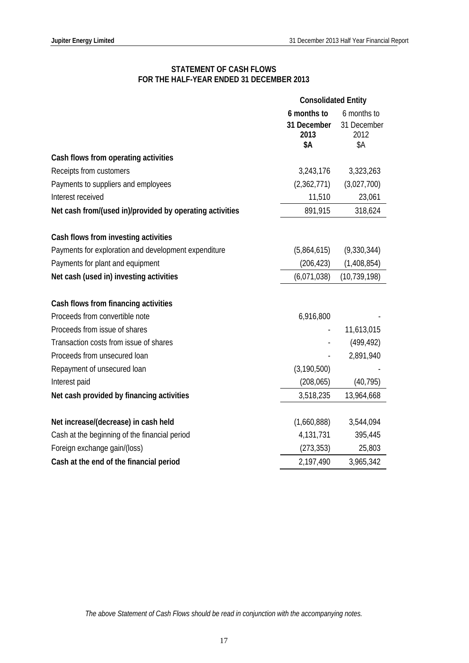# **STATEMENT OF CASH FLOWS FOR THE HALF-YEAR ENDED 31 DECEMBER 2013**

|                                                          | <b>Consolidated Entity</b>                |                                           |
|----------------------------------------------------------|-------------------------------------------|-------------------------------------------|
|                                                          | 6 months to<br>31 December<br>2013<br>\$Α | 6 months to<br>31 December<br>2012<br>\$Α |
| Cash flows from operating activities                     |                                           |                                           |
| Receipts from customers                                  | 3,243,176                                 | 3,323,263                                 |
| Payments to suppliers and employees                      | (2,362,771)                               | (3,027,700)                               |
| Interest received                                        | 11,510                                    | 23,061                                    |
| Net cash from/(used in)/provided by operating activities | 891,915                                   | 318,624                                   |
| Cash flows from investing activities                     |                                           |                                           |
| Payments for exploration and development expenditure     | (5,864,615)                               | (9,330,344)                               |
| Payments for plant and equipment                         | (206, 423)                                | (1,408,854)                               |
| Net cash (used in) investing activities                  | (6,071,038)                               | (10, 739, 198)                            |
| Cash flows from financing activities                     |                                           |                                           |
| Proceeds from convertible note                           | 6,916,800                                 |                                           |
| Proceeds from issue of shares                            |                                           | 11,613,015                                |
| Transaction costs from issue of shares                   |                                           | (499, 492)                                |
| Proceeds from unsecured loan                             |                                           | 2,891,940                                 |
| Repayment of unsecured loan                              | (3, 190, 500)                             |                                           |
| Interest paid                                            | (208, 065)                                | (40, 795)                                 |
| Net cash provided by financing activities                | 3,518,235                                 | 13,964,668                                |
| Net increase/(decrease) in cash held                     | (1,660,888)                               | 3,544,094                                 |
| Cash at the beginning of the financial period            | 4,131,731                                 | 395,445                                   |
| Foreign exchange gain/(loss)                             | (273, 353)                                | 25,803                                    |
| Cash at the end of the financial period                  | 2,197,490                                 | 3,965,342                                 |

*The above Statement of Cash Flows should be read in conjunction with the accompanying notes.*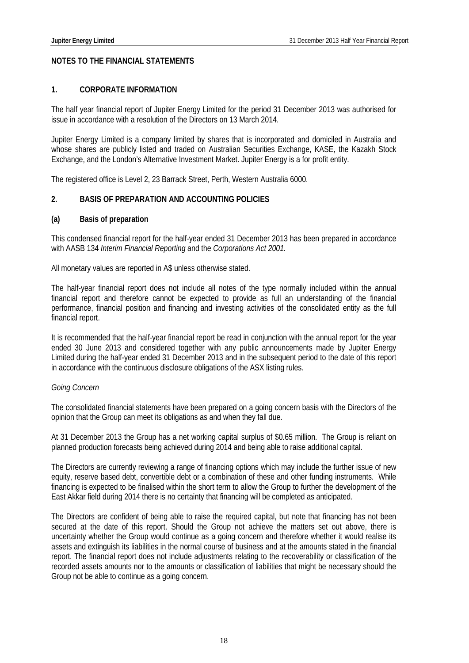# **NOTES TO THE FINANCIAL STATEMENTS**

#### **1. CORPORATE INFORMATION**

The half year financial report of Jupiter Energy Limited for the period 31 December 2013 was authorised for issue in accordance with a resolution of the Directors on 13 March 2014.

Jupiter Energy Limited is a company limited by shares that is incorporated and domiciled in Australia and whose shares are publicly listed and traded on Australian Securities Exchange, KASE, the Kazakh Stock Exchange, and the London's Alternative Investment Market. Jupiter Energy is a for profit entity.

The registered office is Level 2, 23 Barrack Street, Perth, Western Australia 6000.

# **2. BASIS OF PREPARATION AND ACCOUNTING POLICIES**

#### **(a) Basis of preparation**

This condensed financial report for the half-year ended 31 December 2013 has been prepared in accordance with AASB 134 *Interim Financial Reporting* and the *Corporations Act 2001.* 

All monetary values are reported in A\$ unless otherwise stated.

The half-year financial report does not include all notes of the type normally included within the annual financial report and therefore cannot be expected to provide as full an understanding of the financial performance, financial position and financing and investing activities of the consolidated entity as the full financial report.

It is recommended that the half-year financial report be read in conjunction with the annual report for the year ended 30 June 2013 and considered together with any public announcements made by Jupiter Energy Limited during the half-year ended 31 December 2013 and in the subsequent period to the date of this report in accordance with the continuous disclosure obligations of the ASX listing rules.

#### *Going Concern*

The consolidated financial statements have been prepared on a going concern basis with the Directors of the opinion that the Group can meet its obligations as and when they fall due.

At 31 December 2013 the Group has a net working capital surplus of \$0.65 million. The Group is reliant on planned production forecasts being achieved during 2014 and being able to raise additional capital.

The Directors are currently reviewing a range of financing options which may include the further issue of new equity, reserve based debt, convertible debt or a combination of these and other funding instruments. While financing is expected to be finalised within the short term to allow the Group to further the development of the East Akkar field during 2014 there is no certainty that financing will be completed as anticipated.

The Directors are confident of being able to raise the required capital, but note that financing has not been secured at the date of this report. Should the Group not achieve the matters set out above, there is uncertainty whether the Group would continue as a going concern and therefore whether it would realise its assets and extinguish its liabilities in the normal course of business and at the amounts stated in the financial report. The financial report does not include adjustments relating to the recoverability or classification of the recorded assets amounts nor to the amounts or classification of liabilities that might be necessary should the Group not be able to continue as a going concern.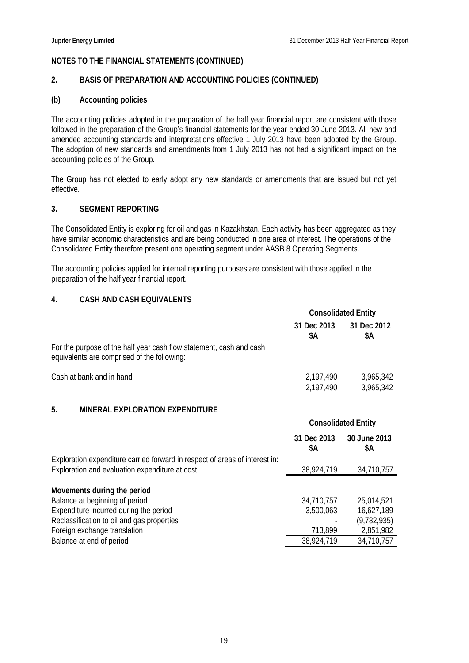# **2. BASIS OF PREPARATION AND ACCOUNTING POLICIES (CONTINUED)**

# **(b) Accounting policies**

The accounting policies adopted in the preparation of the half year financial report are consistent with those followed in the preparation of the Group's financial statements for the year ended 30 June 2013. All new and amended accounting standards and interpretations effective 1 July 2013 have been adopted by the Group. The adoption of new standards and amendments from 1 July 2013 has not had a significant impact on the accounting policies of the Group.

The Group has not elected to early adopt any new standards or amendments that are issued but not yet effective.

## **3. SEGMENT REPORTING**

The Consolidated Entity is exploring for oil and gas in Kazakhstan. Each activity has been aggregated as they have similar economic characteristics and are being conducted in one area of interest. The operations of the Consolidated Entity therefore present one operating segment under AASB 8 Operating Segments.

The accounting policies applied for internal reporting purposes are consistent with those applied in the preparation of the half year financial report.

# **4. CASH AND CASH EQUIVALENTS**

|                                                                                                                               | <b>Consolidated Entity</b> |                            |
|-------------------------------------------------------------------------------------------------------------------------------|----------------------------|----------------------------|
|                                                                                                                               | 31 Dec 2013<br>\$Α         | 31 Dec 2012<br>\$Α         |
| For the purpose of the half year cash flow statement, cash and cash<br>equivalents are comprised of the following:            |                            |                            |
| Cash at bank and in hand                                                                                                      | 2,197,490                  | 3,965,342                  |
|                                                                                                                               | 2,197,490                  | 3,965,342                  |
| 5.<br><b>MINERAL EXPLORATION EXPENDITURE</b>                                                                                  |                            |                            |
|                                                                                                                               |                            | <b>Consolidated Entity</b> |
|                                                                                                                               |                            |                            |
|                                                                                                                               | 31 Dec 2013<br>\$Α         | 30 June 2013<br>\$Α        |
| Exploration expenditure carried forward in respect of areas of interest in:<br>Exploration and evaluation expenditure at cost | 38,924,719                 | 34,710,757                 |
| Movements during the period                                                                                                   |                            |                            |
| Balance at beginning of period                                                                                                | 34,710,757                 | 25,014,521                 |
| Expenditure incurred during the period                                                                                        | 3,500,063                  | 16,627,189                 |
| Reclassification to oil and gas properties                                                                                    |                            | (9, 782, 935)              |
| Foreign exchange translation<br>Balance at end of period                                                                      | 713,899<br>38,924,719      | 2,851,982<br>34,710,757    |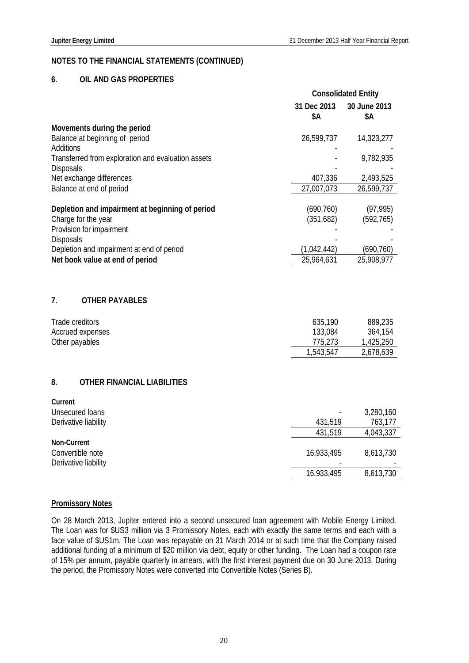#### **6. OIL AND GAS PROPERTIES**

|                                                                            |                         | <b>Consolidated Entity</b> |
|----------------------------------------------------------------------------|-------------------------|----------------------------|
|                                                                            | 31 Dec 2013<br>\$Α      | 30 June 2013<br>\$Α        |
| Movements during the period<br>Balance at beginning of period<br>Additions | 26,599,737              | 14,323,277                 |
| Transferred from exploration and evaluation assets<br><b>Disposals</b>     |                         | 9,782,935                  |
| Net exchange differences                                                   | 407,336                 | 2,493,525                  |
| Balance at end of period                                                   | 27,007,073              | 26,599,737                 |
| Depletion and impairment at beginning of period<br>Charge for the year     | (690, 760)<br>(351,682) | (97, 995)<br>(592, 765)    |
| Provision for impairment                                                   |                         |                            |
| <b>Disposals</b><br>Depletion and impairment at end of period              | (1,042,442)             | (690, 760)                 |
| Net book value at end of period                                            | 25,964,631              | 25,908,977                 |
| 7.<br><b>OTHER PAYABLES</b><br>Trade creditors                             | 635,190                 | 889,235                    |
| Accrued expenses                                                           | 133,084                 | 364,154                    |
| Other payables                                                             | 775,273                 | 1,425,250                  |
|                                                                            | 1,543,547               | 2,678,639                  |
| <b>OTHER FINANCIAL LIABILITIES</b><br>8.                                   |                         |                            |
| Current                                                                    |                         |                            |
| <b>Unsecured loans</b>                                                     |                         | 3,280,160                  |
| Derivative liability                                                       | 431,519                 | 763,177                    |
| Non-Current                                                                | 431,519                 | 4,043,337                  |
| Convertible note<br>Derivative liability                                   | 16,933,495              | 8,613,730                  |
|                                                                            | 16,933,495              | 8,613,730                  |

#### **Promissory Notes**

On 28 March 2013, Jupiter entered into a second unsecured loan agreement with Mobile Energy Limited. The Loan was for \$US3 million via 3 Promissory Notes, each with exactly the same terms and each with a face value of \$US1m. The Loan was repayable on 31 March 2014 or at such time that the Company raised additional funding of a minimum of \$20 million via debt, equity or other funding. The Loan had a coupon rate of 15% per annum, payable quarterly in arrears, with the first interest payment due on 30 June 2013. During the period, the Promissory Notes were converted into Convertible Notes (Series B).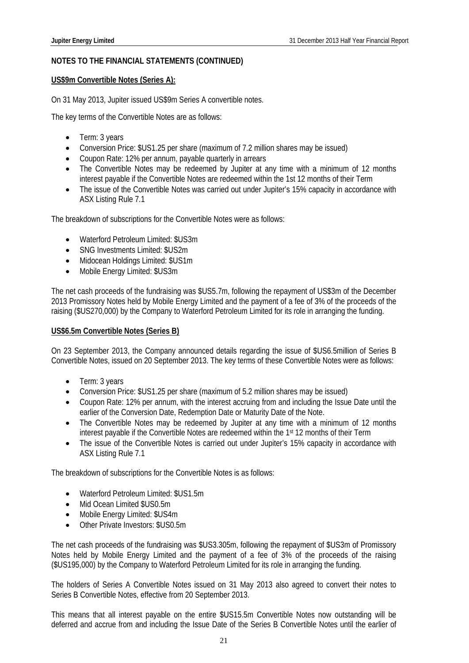# **US\$9m Convertible Notes (Series A):**

On 31 May 2013, Jupiter issued US\$9m Series A convertible notes.

The key terms of the Convertible Notes are as follows:

- Term: 3 years
- Conversion Price: \$US1.25 per share (maximum of 7.2 million shares may be issued)
- Coupon Rate: 12% per annum, payable quarterly in arrears
- The Convertible Notes may be redeemed by Jupiter at any time with a minimum of 12 months interest payable if the Convertible Notes are redeemed within the 1st 12 months of their Term
- The issue of the Convertible Notes was carried out under Jupiter's 15% capacity in accordance with ASX Listing Rule 7.1

The breakdown of subscriptions for the Convertible Notes were as follows:

- Waterford Petroleum Limited: \$US3m
- SNG Investments Limited: \$US2m
- Midocean Holdings Limited: \$US1m
- Mobile Energy Limited: \$US3m

The net cash proceeds of the fundraising was \$US5.7m, following the repayment of US\$3m of the December 2013 Promissory Notes held by Mobile Energy Limited and the payment of a fee of 3% of the proceeds of the raising (\$US270,000) by the Company to Waterford Petroleum Limited for its role in arranging the funding.

# **US\$6.5m Convertible Notes (Series B)**

On 23 September 2013, the Company announced details regarding the issue of \$US6.5million of Series B Convertible Notes, issued on 20 September 2013. The key terms of these Convertible Notes were as follows:

- Term: 3 years
- Conversion Price: \$US1.25 per share (maximum of 5.2 million shares may be issued)
- Coupon Rate: 12% per annum, with the interest accruing from and including the Issue Date until the earlier of the Conversion Date, Redemption Date or Maturity Date of the Note.
- The Convertible Notes may be redeemed by Jupiter at any time with a minimum of 12 months interest payable if the Convertible Notes are redeemed within the 1<sup>st</sup> 12 months of their Term
- The issue of the Convertible Notes is carried out under Jupiter's 15% capacity in accordance with ASX Listing Rule 7.1

The breakdown of subscriptions for the Convertible Notes is as follows:

- Waterford Petroleum Limited: \$US1.5m
- Mid Ocean Limited \$US0.5m
- Mobile Energy Limited: \$US4m
- Other Private Investors: \$US0.5m

The net cash proceeds of the fundraising was \$US3.305m, following the repayment of \$US3m of Promissory Notes held by Mobile Energy Limited and the payment of a fee of 3% of the proceeds of the raising (\$US195,000) by the Company to Waterford Petroleum Limited for its role in arranging the funding.

The holders of Series A Convertible Notes issued on 31 May 2013 also agreed to convert their notes to Series B Convertible Notes, effective from 20 September 2013.

This means that all interest payable on the entire \$US15.5m Convertible Notes now outstanding will be deferred and accrue from and including the Issue Date of the Series B Convertible Notes until the earlier of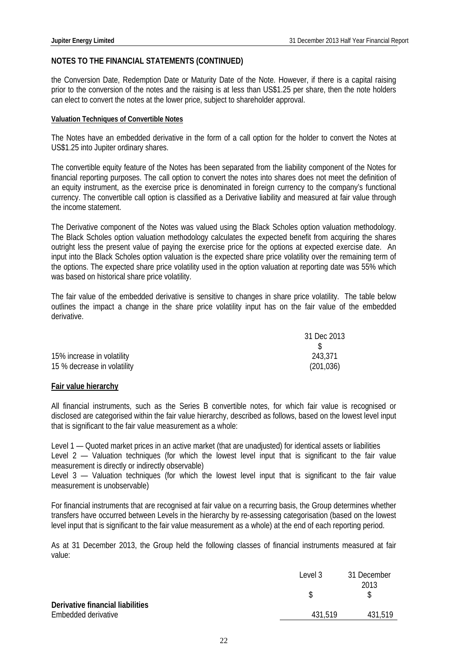the Conversion Date, Redemption Date or Maturity Date of the Note. However, if there is a capital raising prior to the conversion of the notes and the raising is at less than US\$1.25 per share, then the note holders can elect to convert the notes at the lower price, subject to shareholder approval.

#### **Valuation Techniques of Convertible Notes**

The Notes have an embedded derivative in the form of a call option for the holder to convert the Notes at US\$1.25 into Jupiter ordinary shares.

The convertible equity feature of the Notes has been separated from the liability component of the Notes for financial reporting purposes. The call option to convert the notes into shares does not meet the definition of an equity instrument, as the exercise price is denominated in foreign currency to the company's functional currency. The convertible call option is classified as a Derivative liability and measured at fair value through the income statement.

The Derivative component of the Notes was valued using the Black Scholes option valuation methodology. The Black Scholes option valuation methodology calculates the expected benefit from acquiring the shares outright less the present value of paying the exercise price for the options at expected exercise date. An input into the Black Scholes option valuation is the expected share price volatility over the remaining term of the options. The expected share price volatility used in the option valuation at reporting date was 55% which was based on historical share price volatility.

The fair value of the embedded derivative is sensitive to changes in share price volatility. The table below outlines the impact a change in the share price volatility input has on the fair value of the embedded derivative.

|                             | 31 Dec 2013 |
|-----------------------------|-------------|
|                             |             |
| 15% increase in volatility  | 243,371     |
| 15 % decrease in volatility | (201, 036)  |

## **Fair value hierarchy**

All financial instruments, such as the Series B convertible notes, for which fair value is recognised or disclosed are categorised within the fair value hierarchy, described as follows, based on the lowest level input that is significant to the fair value measurement as a whole:

Level 1 — Quoted market prices in an active market (that are unadjusted) for identical assets or liabilities Level 2 — Valuation techniques (for which the lowest level input that is significant to the fair value measurement is directly or indirectly observable)

Level 3 - Valuation techniques (for which the lowest level input that is significant to the fair value measurement is unobservable)

For financial instruments that are recognised at fair value on a recurring basis, the Group determines whether transfers have occurred between Levels in the hierarchy by re-assessing categorisation (based on the lowest level input that is significant to the fair value measurement as a whole) at the end of each reporting period.

As at 31 December 2013, the Group held the following classes of financial instruments measured at fair value:

|                                  | Level 3 | 31 December |
|----------------------------------|---------|-------------|
|                                  |         | 2013        |
|                                  |         |             |
| Derivative financial liabilities |         |             |
| Embedded derivative              | 431.519 | 431,519     |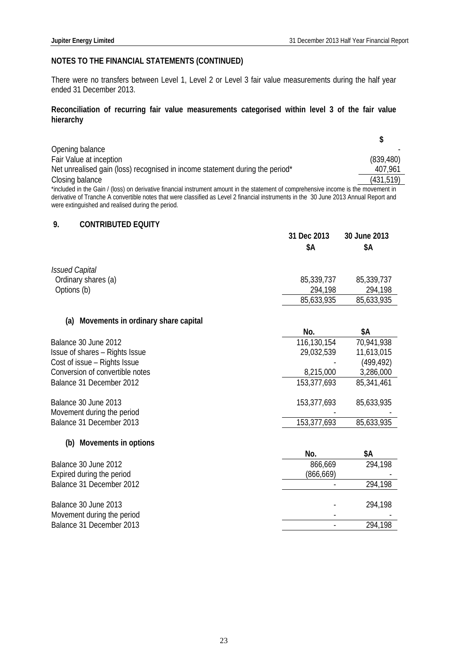There were no transfers between Level 1, Level 2 or Level 3 fair value measurements during the half year ended 31 December 2013.

# **Reconciliation of recurring fair value measurements categorised within level 3 of the fair value hierarchy**

|                                                                                                                                       | S          |
|---------------------------------------------------------------------------------------------------------------------------------------|------------|
| Opening balance                                                                                                                       |            |
| Fair Value at inception                                                                                                               | (839, 480) |
| Net unrealised gain (loss) recognised in income statement during the period*                                                          | 407,961    |
| Closing balance                                                                                                                       | (431, 519) |
| *included in the Gain / (loss) on derivative financial instrument amount in the statement of comprehensive income is the movement in  |            |
| derivative of Tranche A convertible notes that were classified as Level 2 financial instruments in the 30 June 2013 Annual Report and |            |
| were extinguished and realised during the period.                                                                                     |            |

# **9. CONTRIBUTED EQUITY**

|                                         | 31 Dec 2013<br>\$Α | 30 June 2013<br>\$Α |
|-----------------------------------------|--------------------|---------------------|
|                                         |                    |                     |
| <b>Issued Capital</b>                   |                    |                     |
| Ordinary shares (a)                     | 85,339,737         | 85,339,737          |
| Options (b)                             | 294,198            | 294,198             |
|                                         | 85,633,935         | 85,633,935          |
| (a) Movements in ordinary share capital |                    |                     |
|                                         | No.                | \$Α                 |
| Balance 30 June 2012                    | 116,130,154        | 70,941,938          |
| Issue of shares - Rights Issue          | 29,032,539         | 11,613,015          |
| Cost of issue - Rights Issue            |                    | (499, 492)          |
| Conversion of convertible notes         | 8,215,000          | 3,286,000           |
| Balance 31 December 2012                | 153,377,693        | 85,341,461          |
| Balance 30 June 2013                    | 153,377,693        | 85,633,935          |
| Movement during the period              |                    |                     |
| Balance 31 December 2013                | 153,377,693        | 85,633,935          |
| (b) Movements in options                |                    |                     |
|                                         | No.                | \$Α                 |
| Balance 30 June 2012                    | 866,669            | 294,198             |
| Expired during the period               | (866, 669)         |                     |
| Balance 31 December 2012                |                    | 294,198             |
| Balance 30 June 2013                    |                    | 294,198             |
| Movement during the period              |                    |                     |

Balance 31 December 2013 **294,198**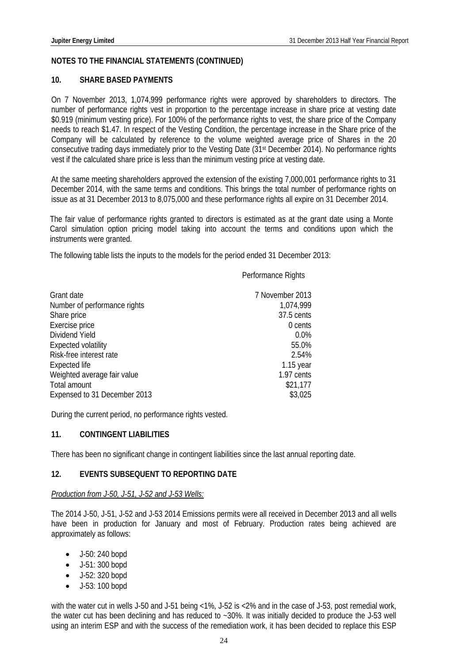#### **10. SHARE BASED PAYMENTS**

On 7 November 2013, 1,074,999 performance rights were approved by shareholders to directors. The number of performance rights vest in proportion to the percentage increase in share price at vesting date \$0.919 (minimum vesting price). For 100% of the performance rights to vest, the share price of the Company needs to reach \$1.47. In respect of the Vesting Condition, the percentage increase in the Share price of the Company will be calculated by reference to the volume weighted average price of Shares in the 20 consecutive trading days immediately prior to the Vesting Date (31<sup>st</sup> December 2014). No performance rights vest if the calculated share price is less than the minimum vesting price at vesting date.

At the same meeting shareholders approved the extension of the existing 7,000,001 performance rights to 31 December 2014, with the same terms and conditions. This brings the total number of performance rights on issue as at 31 December 2013 to 8,075,000 and these performance rights all expire on 31 December 2014.

The fair value of performance rights granted to directors is estimated as at the grant date using a Monte Carol simulation option pricing model taking into account the terms and conditions upon which the instruments were granted.

The following table lists the inputs to the models for the period ended 31 December 2013:

Performance Rights

| Grant date                   | 7 November 2013 |
|------------------------------|-----------------|
| Number of performance rights | 1,074,999       |
| Share price                  | 37.5 cents      |
| Exercise price               | 0 cents         |
| Dividend Yield               | 0.0%            |
| <b>Expected volatility</b>   | 55.0%           |
| Risk-free interest rate      | 2.54%           |
| Expected life                | $1.15$ year     |
| Weighted average fair value  | 1.97 cents      |
| Total amount                 | \$21,177        |
| Expensed to 31 December 2013 | \$3,025         |

During the current period, no performance rights vested.

# **11. CONTINGENT LIABILITIES**

There has been no significant change in contingent liabilities since the last annual reporting date.

## **12. EVENTS SUBSEQUENT TO REPORTING DATE**

#### *Production from J-50, J-51, J-52 and J-53 Wells:*

The 2014 J-50, J-51, J-52 and J-53 2014 Emissions permits were all received in December 2013 and all wells have been in production for January and most of February. Production rates being achieved are approximately as follows:

- J-50: 240 bopd
- J-51: 300 bopd
- $-J-52: 320$  bopd
- J-53: 100 bopd

with the water cut in wells J-50 and J-51 being <1%, J-52 is <2% and in the case of J-53, post remedial work, the water cut has been declining and has reduced to ~30%. It was initially decided to produce the J-53 well using an interim ESP and with the success of the remediation work, it has been decided to replace this ESP